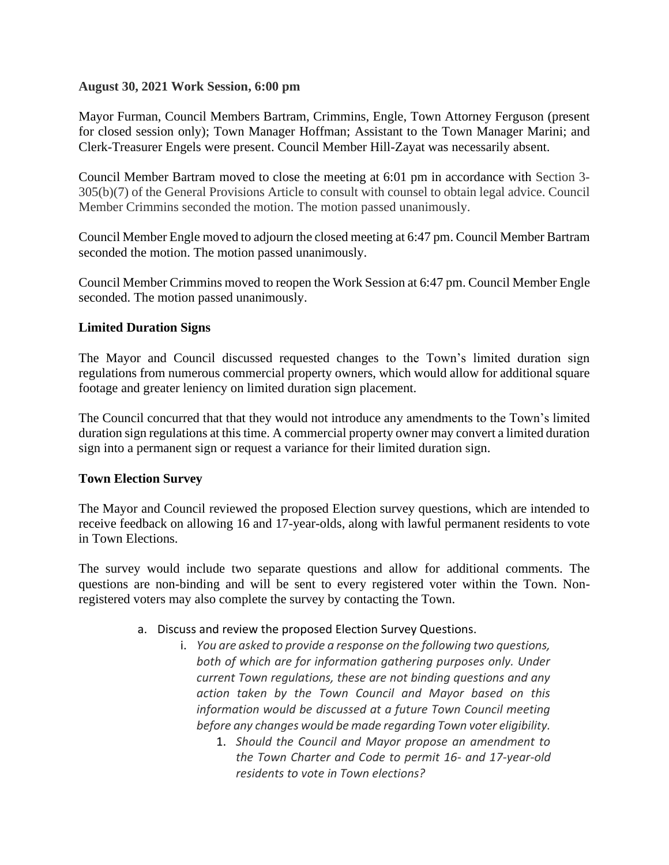## **August 30, 2021 Work Session, 6:00 pm**

Mayor Furman, Council Members Bartram, Crimmins, Engle, Town Attorney Ferguson (present for closed session only); Town Manager Hoffman; Assistant to the Town Manager Marini; and Clerk-Treasurer Engels were present. Council Member Hill-Zayat was necessarily absent.

Council Member Bartram moved to close the meeting at 6:01 pm in accordance with Section 3- 305(b)(7) of the General Provisions Article to consult with counsel to obtain legal advice. Council Member Crimmins seconded the motion. The motion passed unanimously.

Council Member Engle moved to adjourn the closed meeting at 6:47 pm. Council Member Bartram seconded the motion. The motion passed unanimously.

Council Member Crimmins moved to reopen the Work Session at 6:47 pm. Council Member Engle seconded. The motion passed unanimously.

# **Limited Duration Signs**

The Mayor and Council discussed requested changes to the Town's limited duration sign regulations from numerous commercial property owners, which would allow for additional square footage and greater leniency on limited duration sign placement.

The Council concurred that that they would not introduce any amendments to the Town's limited duration sign regulations at this time. A commercial property owner may convert a limited duration sign into a permanent sign or request a variance for their limited duration sign.

# **Town Election Survey**

The Mayor and Council reviewed the proposed Election survey questions, which are intended to receive feedback on allowing 16 and 17-year-olds, along with lawful permanent residents to vote in Town Elections.

The survey would include two separate questions and allow for additional comments. The questions are non-binding and will be sent to every registered voter within the Town. Nonregistered voters may also complete the survey by contacting the Town.

# a. Discuss and review the proposed Election Survey Questions.

- i. *You are asked to provide a response on the following two questions, both of which are for information gathering purposes only. Under current Town regulations, these are not binding questions and any action taken by the Town Council and Mayor based on this information would be discussed at a future Town Council meeting before any changes would be made regarding Town voter eligibility.*
	- 1. *Should the Council and Mayor propose an amendment to the Town Charter and Code to permit 16- and 17-year-old residents to vote in Town elections?*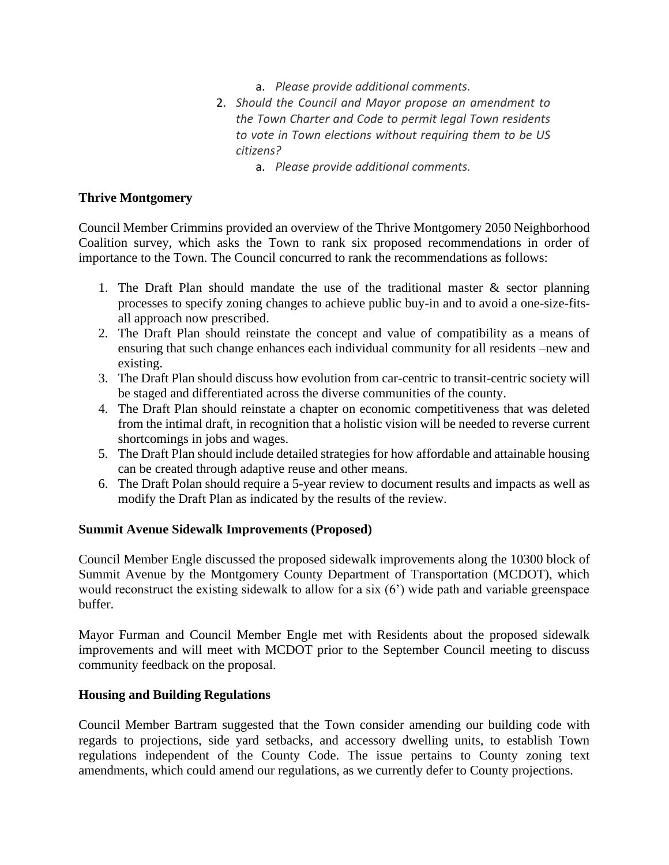- a. *Please provide additional comments.*
- 2. *Should the Council and Mayor propose an amendment to the Town Charter and Code to permit legal Town residents to vote in Town elections without requiring them to be US citizens?*
	- a. *Please provide additional comments.*

# **Thrive Montgomery**

Council Member Crimmins provided an overview of the Thrive Montgomery 2050 Neighborhood Coalition survey, which asks the Town to rank six proposed recommendations in order of importance to the Town. The Council concurred to rank the recommendations as follows:

- 1. The Draft Plan should mandate the use of the traditional master & sector planning processes to specify zoning changes to achieve public buy-in and to avoid a one-size-fitsall approach now prescribed.
- 2. The Draft Plan should reinstate the concept and value of compatibility as a means of ensuring that such change enhances each individual community for all residents –new and existing.
- 3. The Draft Plan should discuss how evolution from car-centric to transit-centric society will be staged and differentiated across the diverse communities of the county.
- 4. The Draft Plan should reinstate a chapter on economic competitiveness that was deleted from the intimal draft, in recognition that a holistic vision will be needed to reverse current shortcomings in jobs and wages.
- 5. The Draft Plan should include detailed strategies for how affordable and attainable housing can be created through adaptive reuse and other means.
- 6. The Draft Polan should require a 5-year review to document results and impacts as well as modify the Draft Plan as indicated by the results of the review.

# **Summit Avenue Sidewalk Improvements (Proposed)**

Council Member Engle discussed the proposed sidewalk improvements along the 10300 block of Summit Avenue by the Montgomery County Department of Transportation (MCDOT), which would reconstruct the existing sidewalk to allow for a six (6') wide path and variable greenspace buffer.

Mayor Furman and Council Member Engle met with Residents about the proposed sidewalk improvements and will meet with MCDOT prior to the September Council meeting to discuss community feedback on the proposal.

# **Housing and Building Regulations**

Council Member Bartram suggested that the Town consider amending our building code with regards to projections, side yard setbacks, and accessory dwelling units, to establish Town regulations independent of the County Code. The issue pertains to County zoning text amendments, which could amend our regulations, as we currently defer to County projections.